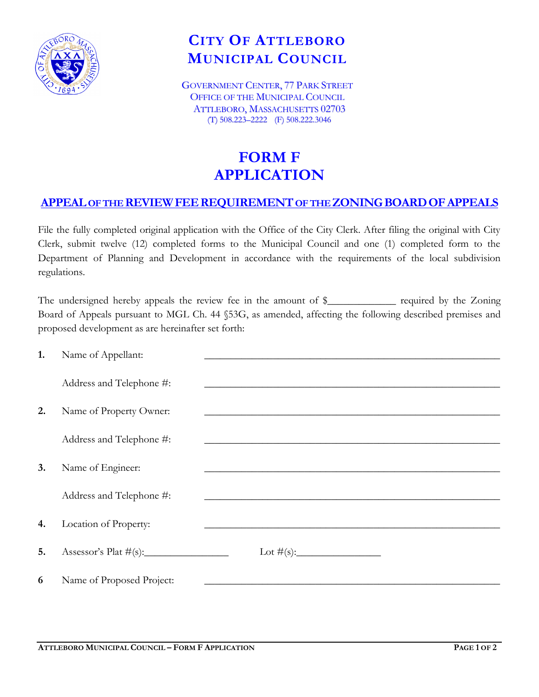

## **CITY OF ATTLEBORO MUNICIPAL COUNCIL**

GOVERNMENT CENTER, 77 PARK STREET OFFICE OF THE MUNICIPAL COUNCIL ATTLEBORO, MASSACHUSETTS 02703 (T) 508.223–2222 (F) 508.222.3046

## **FORM F APPLICATION**

## **APPEAL OF THE REVIEWFEEREQUIREMENTOF THE ZONINGBOARDOFAPPEALS**

File the fully completed original application with the Office of the City Clerk. After filing the original with City Clerk, submit twelve (12) completed forms to the Municipal Council and one (1) completed form to the Department of Planning and Development in accordance with the requirements of the local subdivision regulations.

The undersigned hereby appeals the review fee in the amount of \$\_\_\_\_\_\_\_\_\_\_\_\_ required by the Zoning Board of Appeals pursuant to MGL Ch. 44 §53G, as amended, affecting the following described premises and proposed development as are hereinafter set forth:

| 1. | Name of Appellant:        |                                                                                                                      |
|----|---------------------------|----------------------------------------------------------------------------------------------------------------------|
|    |                           |                                                                                                                      |
|    | Address and Telephone #:  |                                                                                                                      |
|    |                           |                                                                                                                      |
| 2. | Name of Property Owner:   | <u> 1989 - Johann John Stein, mars ar yn y sefydlu y gynnwys y gynnwys y gynnwys y gynnwys y gynnwys y gynnwys y</u> |
|    |                           |                                                                                                                      |
|    | Address and Telephone #:  |                                                                                                                      |
|    |                           |                                                                                                                      |
| 3. | Name of Engineer:         |                                                                                                                      |
|    |                           |                                                                                                                      |
|    | Address and Telephone #:  |                                                                                                                      |
|    |                           |                                                                                                                      |
| 4. | Location of Property:     |                                                                                                                      |
|    |                           |                                                                                                                      |
| 5. |                           |                                                                                                                      |
|    |                           |                                                                                                                      |
| 6  | Name of Proposed Project: |                                                                                                                      |
|    |                           |                                                                                                                      |